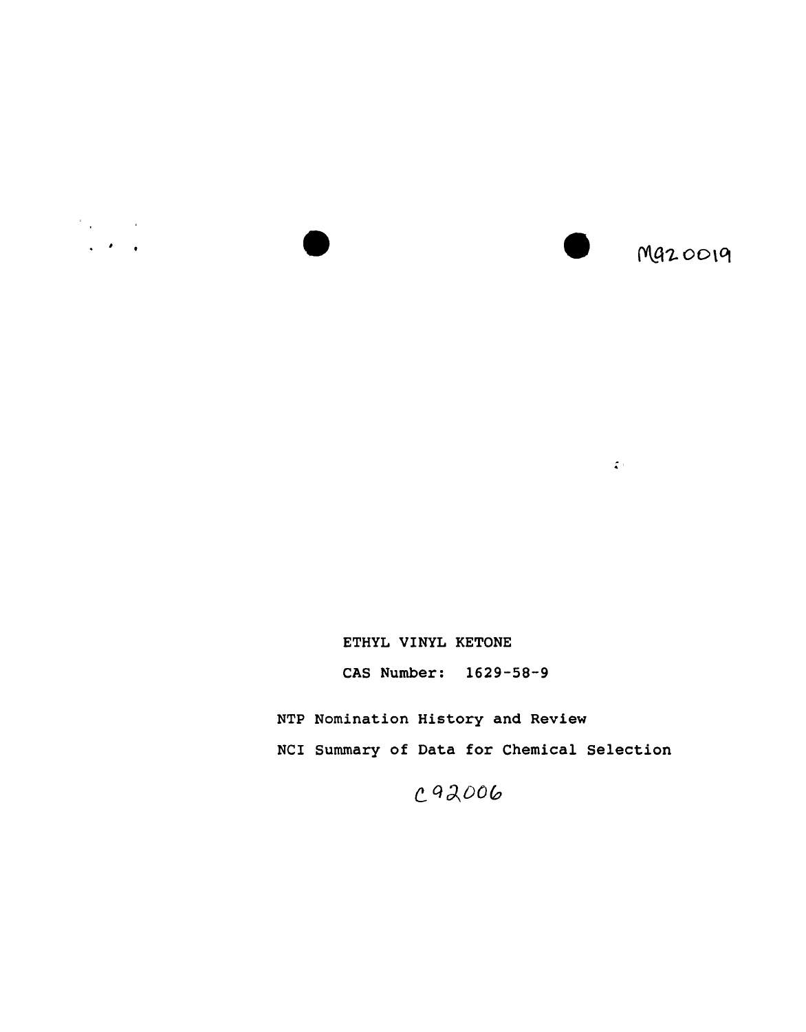

ETHYL VINYL KETONE

CAS Number: 1629-58-9

NTP Nomination History and Review

NCI Summary of Data for Chemical Selection

. .

C92006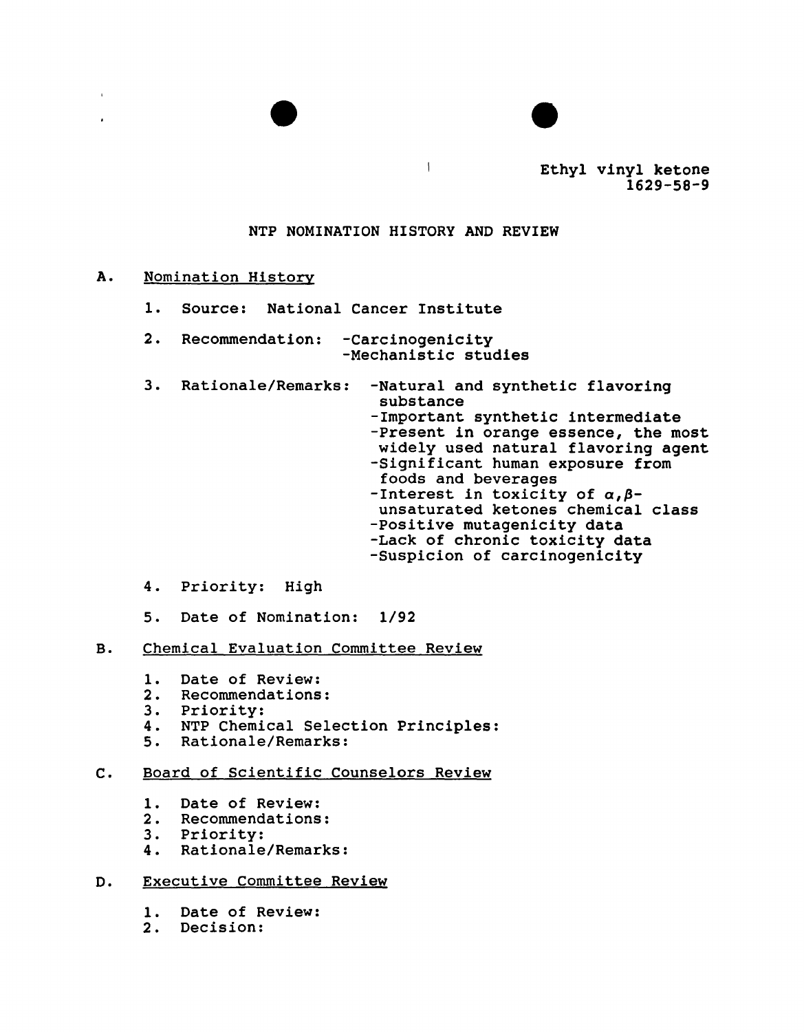

Ethyl vinyl ketone 1629-58-9

# NTP NOMINATION HISTORY AND REVIEW

## A. Nomination History

 $\mathbf{r}$ 

- 1. Source: National Cancer Institute
- 2. Recommendation: Carcinogenicity -Mechanistic studies
- 3. Rationale/Remarks: -Natural and synthetic flavoring substance -Important synthetic intermediate -Present in orange essence, the most widely used natural flavoring agent -Significant human exposure from foods and beverages -Interest in toxicity of  $\alpha, \beta$ unsaturated ketones chemical class -Positive mutagenicity data -Lack of chronic toxicity data -suspicion of carcinogenicity
- 4. Priority: High
- 5. Date of Nomination: 1/92

### B. Chemical Evaluation Committee Review

- 1. Date of Review:<br>2. Recommendations
- 2. Recommendations:
- 3. Priority:
- 4. NTP Chemical Selection Principles:<br>5. Rationale/Remarks:
- 5. Rationale/Remarks:

# c. Board of Scientific Counselors Review

- 1. Date of Review:
- 2. Recommendations:
- 3. Priority:
- 4. Rationale/Remarks:
- D. Executive Committee Review
	- 1. Date of Review:
	- 2. Decision: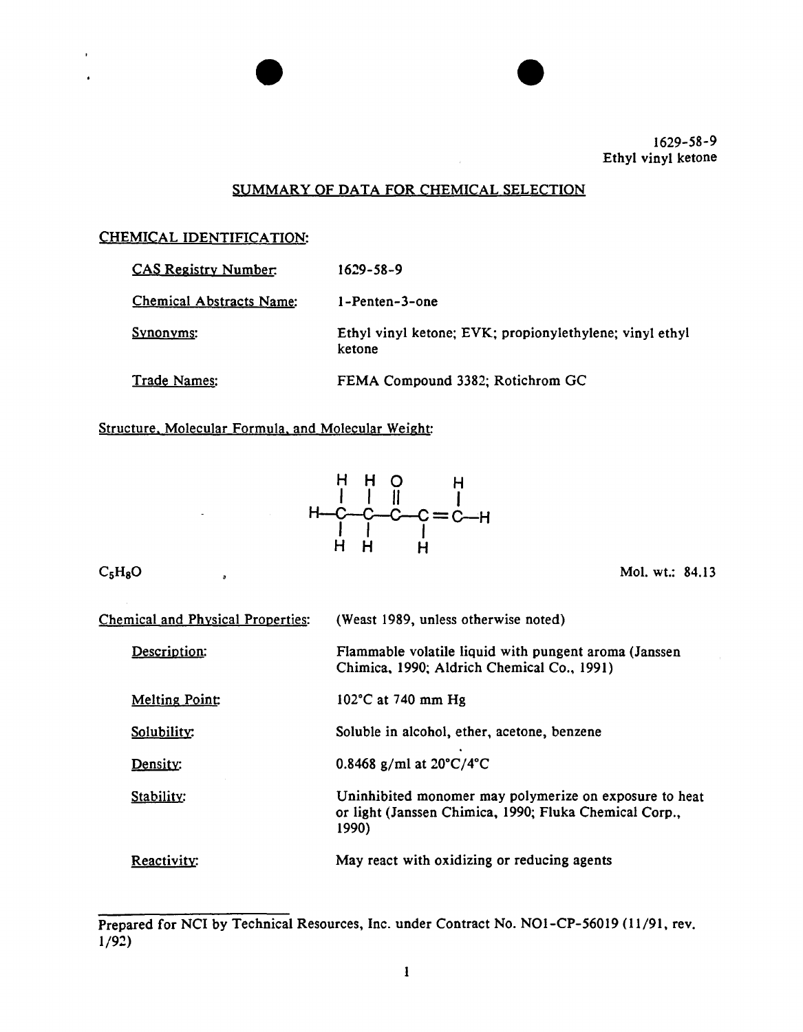

# SUMMARY OF DATA FOR CHEMICAL SELECTION

 $\bullet$ 

## CHEMICAL IDENTIFICATION:

| <b>CAS Registry Number:</b>     | 1629-58-9                                                         |
|---------------------------------|-------------------------------------------------------------------|
| <b>Chemical Abstracts Name:</b> | 1-Penten-3-one                                                    |
| <u>Synonyms:</u>                | Ethyl vinyl ketone; EVK; propionylethylene; vinyl ethyl<br>ketone |
| Trade Names:                    | FEMA Compound 3382; Rotichrom GC                                  |

Structure. Molecular Formula. and Molecular Weight:

 $\overline{a}$ 



 $C_5H_8O$ 

 $\ddot{\phantom{a}}$ 

Mol. wt.: 84.13

| <b>Chemical and Physical Properties:</b> | (Weast 1989, unless otherwise noted)                                                                                      |  |  |
|------------------------------------------|---------------------------------------------------------------------------------------------------------------------------|--|--|
| Description:                             | Flammable volatile liquid with pungent aroma (Janssen<br>Chimica, 1990; Aldrich Chemical Co., 1991)                       |  |  |
| <b>Melting Point:</b>                    | $102^{\circ}$ C at 740 mm Hg                                                                                              |  |  |
| Solubility:                              | Soluble in alcohol, ether, acetone, benzene                                                                               |  |  |
| Density:                                 | 0.8468 g/ml at $20^{\circ}$ C/4 $^{\circ}$ C                                                                              |  |  |
| Stability:                               | Uninhibited monomer may polymerize on exposure to heat<br>or light (Janssen Chimica, 1990; Fluka Chemical Corp.,<br>1990) |  |  |
| Reactivity:                              | May react with oxidizing or reducing agents                                                                               |  |  |

Prepared for NCI by Technical Resources, Inc. under Contract No. NO1-CP-56019 (11/91, rev.  $1/92)$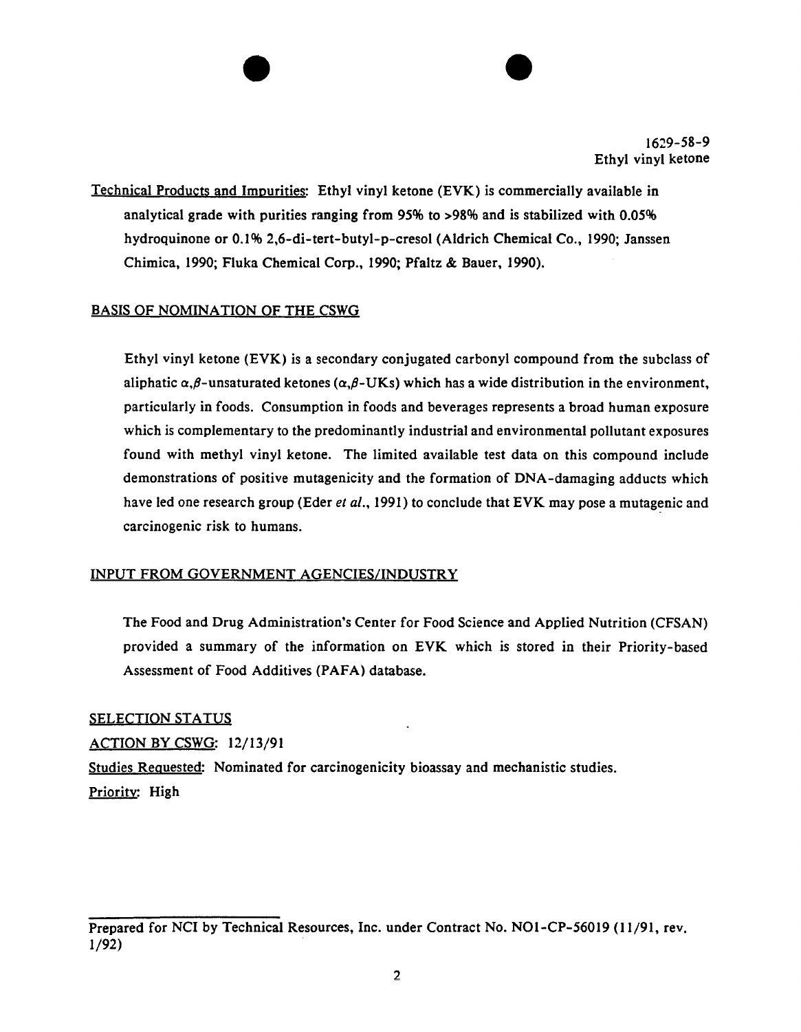Technical Products and Impurities: Ethyl vinyl ketone (EVK) is commercially available in analytical grade with purities ranging from 95% to >98% and is stabilized with 0.05% hydroquinone or 0.1% 2,6-di-tert-butyl-p-cresol (Aldrich Chemical Co., 1990; Janssen Chimica, 1990; Fluka Chemical Corp., 1990; Pfaltz & Bauer, 1990).

 $\bullet$ 

# BASIS OF NOMINATION OF THE CSWG

Ethyl vinyl ketone (EVK) is a secondary conjugated carbonyl compound from the subclass of aliphatic  $\alpha$ , $\beta$ -unsaturated ketones ( $\alpha$ , $\beta$ -UKs) which has a wide distribution in the environment, particularly in foods. Consumption in foods and beverages represents a broad human exposure which is complementary to the predominantly industrial and environmental pollutant exposures found with methyl vinyl ketone. The limited available test data on this compound include demonstrations of positive mutagenicity and the formation of DNA-damaging adducts which have led one research group (Eder *et al.,* 1991) to conclude that EVK may pose a mutagenic and carcinogenic risk to humans.

### INPUT FROM GOVERNMENT AGENCIES/INDUSTRY

The Food and Drug Administration's Center for Food Science and Applied Nutrition (CFSAN) provided a summary of the information on EVK which is stored in their Priority-based Assessment of Food Additives (PAFA) database.

### SELECTION STATUS

ACTION BY CSWG: 12/13/91

Studies Requested: Nominated for carcinogenicity bioassay and mechanistic studies. Priority: High

Prepared for NCI by Technical Resources, Inc. under Contract No. N01-CP-56019 (11/91, rev. 1/92)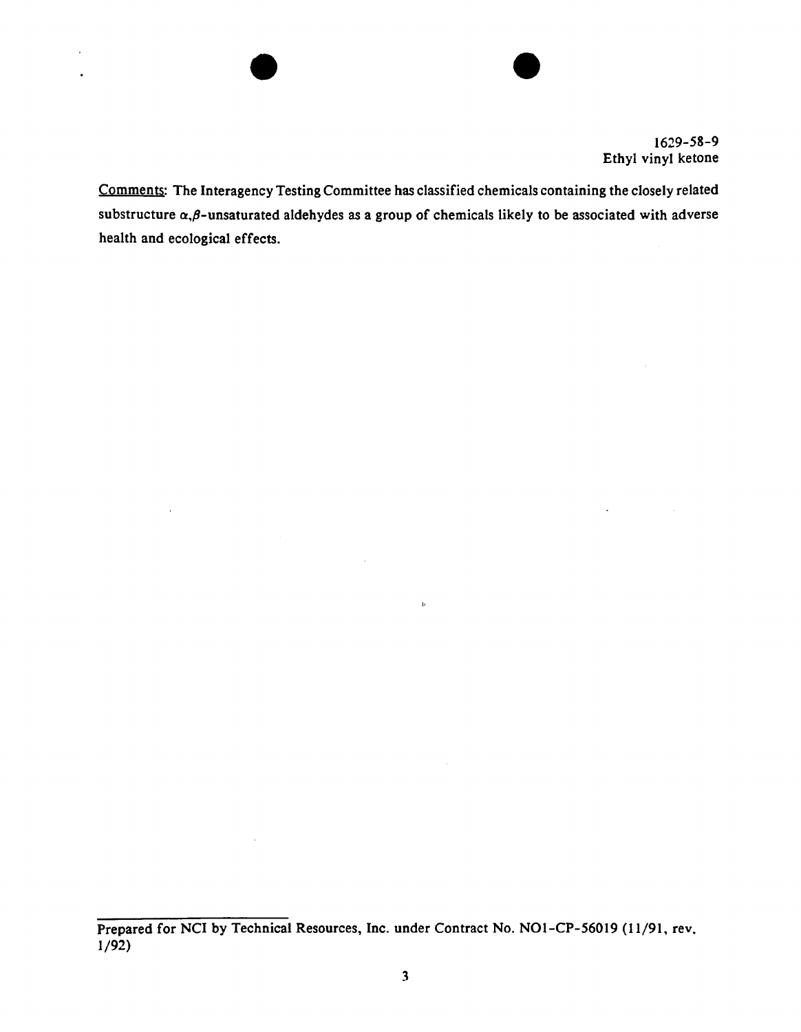

 $\omega$ 

Comments: The Interagency Testing Committee has classified chemicals containing the closely related substructure  $\alpha,\beta$ -unsaturated aldehydes as a group of chemicals likely to be associated with adverse health and ecological effects.

 $\mathbf{b}$ 

 $\bullet$ 

 $\ddot{\phantom{1}}$  $\bullet$ 

 $\bar{z}$ 

 $\alpha$ 

Prepared for NCI by Technical Resources, Inc. under Contract No. NOl-CP-56019 (11/91, rev. 1/92)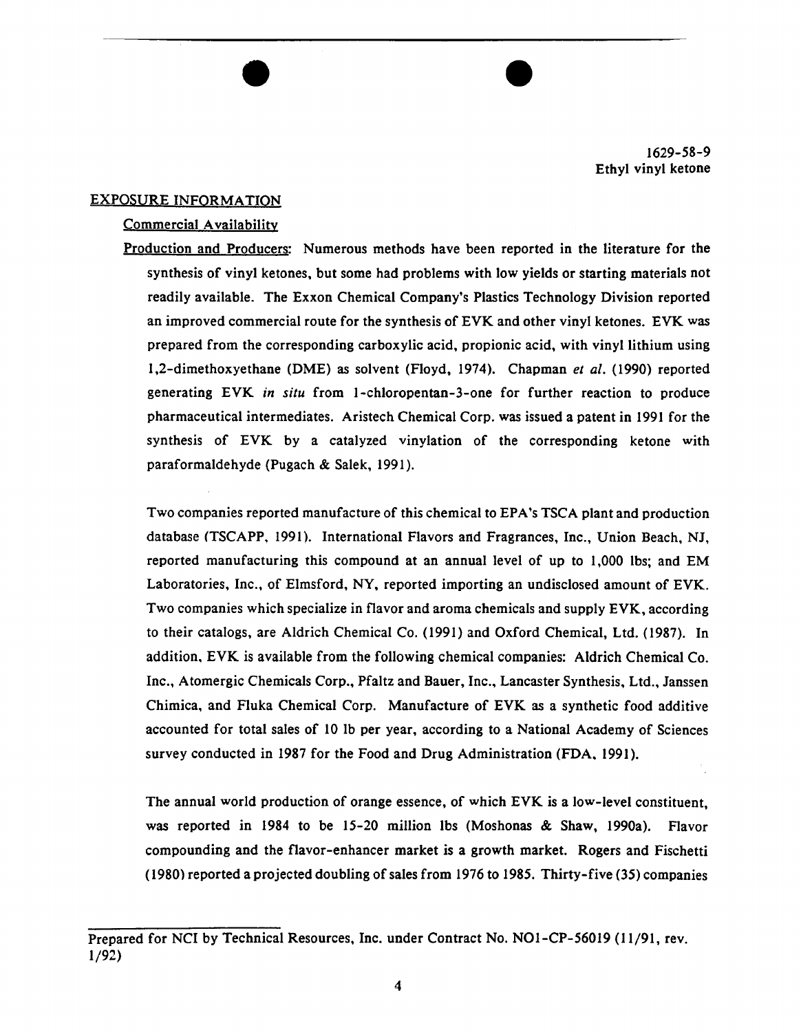

#### EXPOSURE INFORMATION

#### Commercial Availability

Production and Producers: Numerous methods have been reported in the literature for the synthesis of vinyl ketones, but some had problems with low yields or starting materials not readily available. The Exxon Chemical Company's Plastics Technology Division reported an improved commercial route for the synthesis of EVK and other vinyl ketones. EVK was prepared from the corresponding carboxylic acid, propionic acid, with vinyl lithium using 1,2-dimethoxyethane (DME) as solvent (Floyd, 1974). Chapman *et al.* (1990) reported generating EVK *in situ* from 1-chloropentan-3-one for further reaction to produce pharmaceutical intermediates. Aristech Chemical Corp. was issued a patent in 1991 for the synthesis of EVK by a catalyzed vinylation of the corresponding ketone with paraformaldehyde (Pugach & Salek, 1991).

 $\overline{\bullet}$ 

Two companies reported manufacture of this chemical to EPA's TSCA plant and production database (TSCAPP, 1991). International Flavors and Fragrances, Inc., Union Beach, NJ, reported manufacturing this compound at an annual level of up to I ,000 lbs; and EM Laboratories, Inc., of Elmsford, NY, reported importing an undisclosed amount of EVK. Two companies which specialize in flavor and aroma chemicals and supply EVK, according to their catalogs, are Aldrich Chemical Co. (1991) and Oxford Chemical, Ltd. (1987). In addition, EVK is available from the following chemical companies: Aldrich Chemical Co. Inc., Atomergic Chemicals Corp., Pfaltz and Bauer, Inc., Lancaster Synthesis, Ltd., Janssen Chimica, and Fluka Chemical Corp. Manufacture of EVK as a synthetic food additive accounted for total sales of 10 lb per year, according to a National Academy of Sciences survey conducted in 1987 for the Food and Drug Administration (FDA, 1991).

The annual world production of orange essence, of which EVK is a low-level constituent, was reported in 1984 to be 15-20 million lbs (Moshonas & Shaw, l990a). Flavor compounding and the flavor-enhancer market is a growth market. Rogers and Fischetti (1980) reported a projected doubling of sales from 1976 to 1985. Thirty-five (35) companies

Prepared for NCI by Technical Resources, Inc. under Contract No. NOl-CP-56019 {ll/91, rev. 1/92)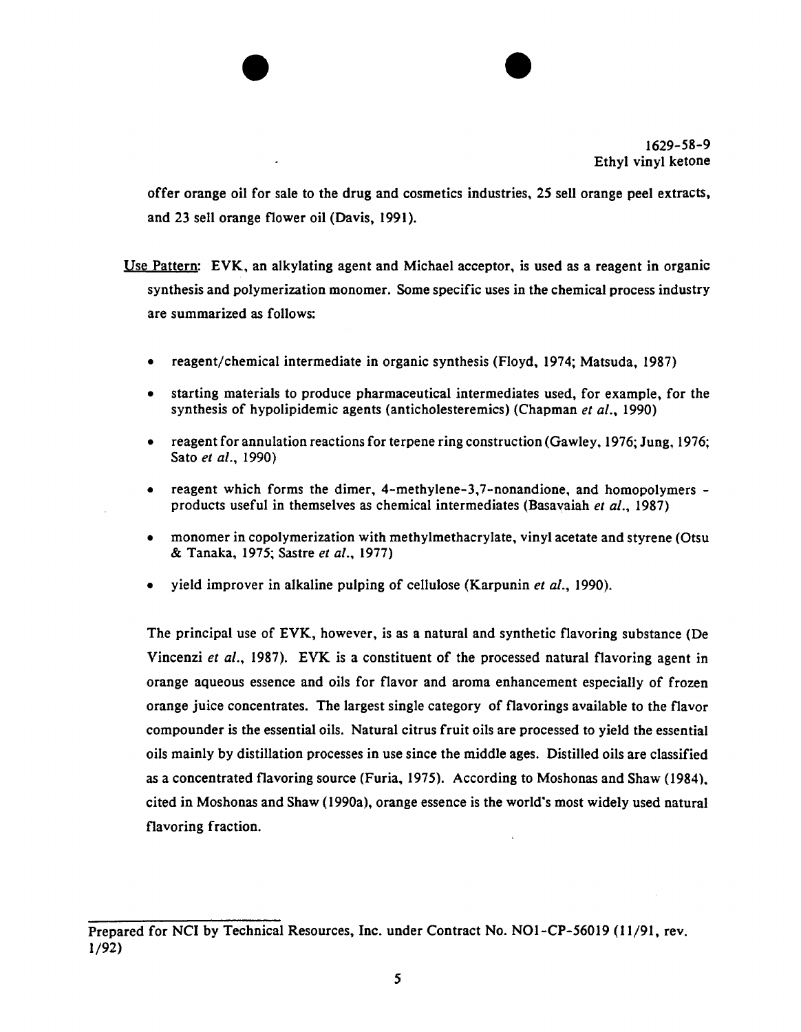

offer orange oil for sale to the drug and cosmetics industries, 25 sell orange peel extracts, and 23 sell orange flower oil (Davis, 1991).

 $\bullet$ 

Use Pattern: EVK, an alkylating agent and Michael acceptor, is used as a reagent in organic synthesis and polymerization monomer. Some specific uses in the chemical process industry are summarized as follows:

- reagent/chemical intermediate in organic synthesis (Floyd, 1974; Matsuda, 1987)
- starting materials to produce pharmaceutical intermediates used, for example, for the synthesis of hypolipidemic agents (anticholesteremics) (Chapman *et al.*, 1990)
- reagent for annulation reactions for terpene ring construction (Gawley, 1976; Jung, 1976; Sato *et al.*, 1990)
- reagent which forms the dimer,  $4$ -methylene-3,7-nonandione, and homopolymers products useful in themselves as chemical intermediates (Basavaiah *et al.,* 1987)
- monomer in copolymerization with methylmethacrylate, vinyl acetate and styrene (Otsu & Tanaka, 1975; Sastre *et al.,* 1977)
- vield improver in alkaline pulping of cellulose (Karpunin *et al.*, 1990).

The principal use of EVK, however, is as a natural and synthetic flavoring substance (De Vincenzi *et a/.,* 1987). EVK is a constituent of the processed natural flavoring agent in orange aqueous essence and oils for flavor and aroma enhancement especially of frozen orange juice concentrates. The largest single category of flavorings available to the flavor compounder is the essential oils. Natural citrus fruit oils are processed to yield the essential oils mainly by distillation processes in use since the middle ages. Distilled oils are classified as a concentrated flavoring source (Furia, 1975). According to Moshonas and Shaw (1984). cited in Moshonas and Shaw {1990a), orange essence is the world's most widely used natural flavoring fraction.

Prepared for NCI by Technical Resources, Inc. under Contract No. NOl-CP-56019 (11/91, rev. 1/92)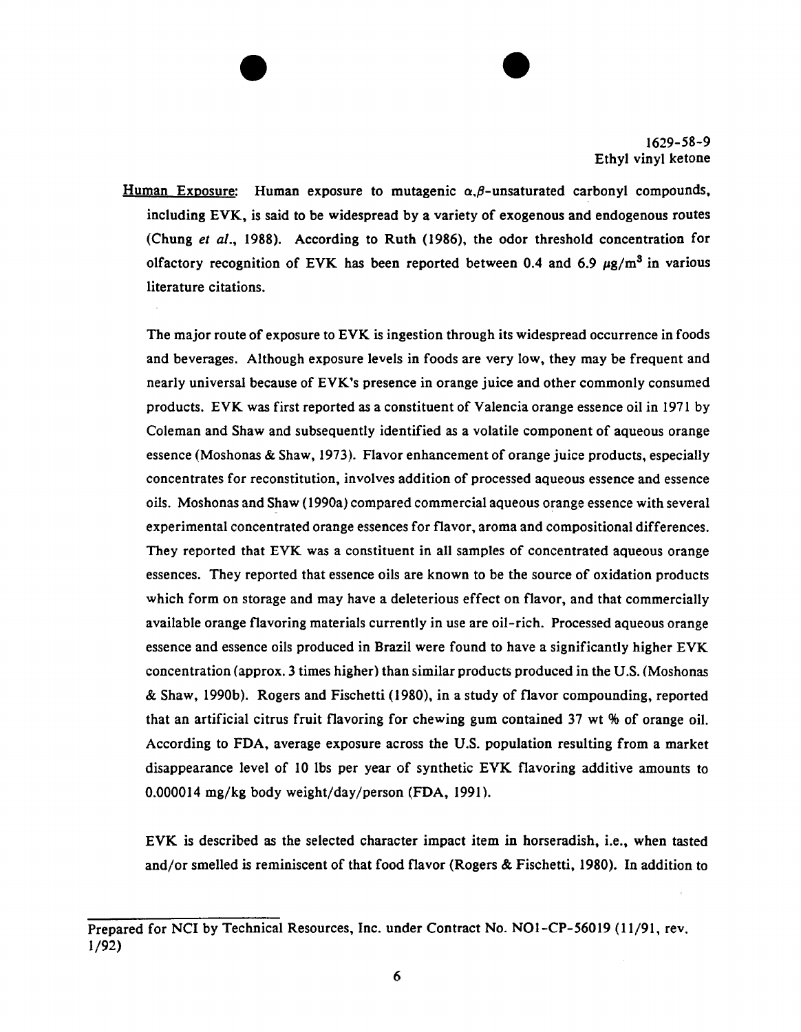Human Exposure: Human exposure to mutagenic  $\alpha$ , $\beta$ -unsaturated carbonyl compounds, including EVK, is said to be widespread by a variety of exogenous and endogenous routes (Chung *et a/.,* 1988). According to Ruth (1986), the odor threshold concentration for olfactory recognition of EVK has been reported between 0.4 and 6.9  $\mu$ g/m<sup>3</sup> in various literature citations.

 $\bullet$ 

The major route of exposure to EVK is ingestion through its widespread occurrence in foods and beverages. Although exposure levels in foods are very low, they may be frequent and nearly universal because of EVK's presence in orange juice and other commonly consumed products. EVK was first reported as a constituent of Valencia orange essence oil in 1971 by Coleman and Shaw and subsequently identified as a volatile component of aqueous orange essence (Moshonas & Shaw, 1973). Flavor enhancement of orange juice products, especially concentrates for reconstitution, involves addition of processed aqueous essence and essence oils. Moshonas and Shaw ( 1990a) compared commercial aqueous orange essence with several experimental concentrated orange essences for flavor, aroma and compositional differences. They reported that EVK was a constituent in all samples of concentrated aqueous orange essences. They reported that essence oils are known to be the source of oxidation products which form on storage and may have a deleterious effect on flavor, and that commercially available orange flavoring materials currently in use are oil-rich. Processed aqueous orange essence and essence oils produced in Brazil were found to have a significantly higher EVK concentration (approx. 3 times higher) than similar products produced in the U.S. (Moshonas & Shaw, 1990b). Rogers and Fischetti (1980), in a study of flavor compounding, reported that an artificial citrus fruit flavoring for chewing gum contained 37 wt % of orange oil. According to FDA, average exposure across the U.S. population resulting from a market disappearance level of 10 lbs per year of synthetic EVK flavoring additive amounts to 0.000014 mg/kg body weight/day/person (FDA, 1991 ).

EVK is described as the selected character impact item in horseradish, i.e., when tasted and/or smelled is reminiscent of that food flavor (Rogers & Fischetti, 1980). In addition to

Prepared for NCI by Technical Resources, Inc. under Contract No. N01-CP-56019 (11/91, rev. 1/92)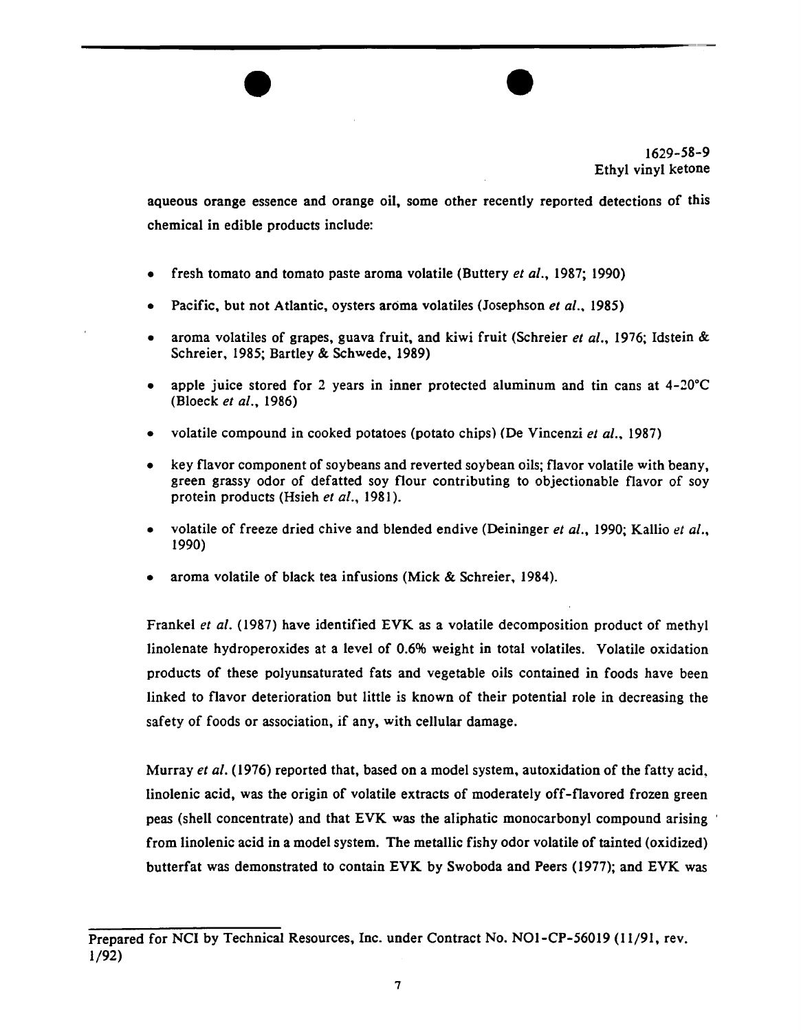

aqueous orange essence and orange oil, some other recently reported detections of this chemical in edible products include:

 $\overline{\bullet}$ 

- fresh tomato and tomato paste aroma volatile (Buttery *et al.*, 1987; 1990)
- Pacific, but not Atlantic, oysters aroma volatiles (Josephson *et al.,* 1985)
- aroma volatiles of grapes, guava fruit, and kiwi fruit (Schreier *et al.*, 1976; Idstein & Schreier, 1985; Bartley & Schwede, 1989)
- apple juice stored for 2 years in inner protected aluminum and tin cans at  $4-20^{\circ}$ C (Bloeck *et al.,* 1986)
- volatile compound in cooked potatoes (potato chips) (De Vincenzi *et al.*, 1987)
- key flavor component of soybeans and reverted soybean oils; flavor volatile with beany, green grassy odor of defatted soy flour contributing to objectionable flavor of soy protein products (Hsieh et al., 1981).
- volatile of freeze dried chive and blended endive (Deininger *et al.,* 1990; Kallio *et al.,* 1990)
- aroma volatile of black tea infusions (Mick & Schreier, 1984).

Frankel *et a/.* (1987) have identified EVK as a volatile decomposition product of methyl linolenate hydroperoxides at a level of 0.6% weight in total volatiles. Volatile oxidation products of these polyunsaturated fats and vegetable oils contained in foods have been linked to flavor deterioration but little is known of their potential role in decreasing the safety of foods or association, if any, with cellular damage.

Murray *eta/.* (1976) reported that, based on a model system, autoxidation of the fatty acid. linolenic acid, was the origin of volatile extracts of moderately off-flavored frozen green peas (shell concentrate) and that EVK was the aliphatic monocarbonyl compound arising from linolenic acid in a model system. The metallic fishy odor volatile of tainted (oxidized) butterfat was demonstrated to contain EVK by Swoboda and Peers (1977); and EVK was

Prepared for NCI by Technical Resources, Inc. under Contract No. N01-CP-56019 (11/91, rev. 1/92)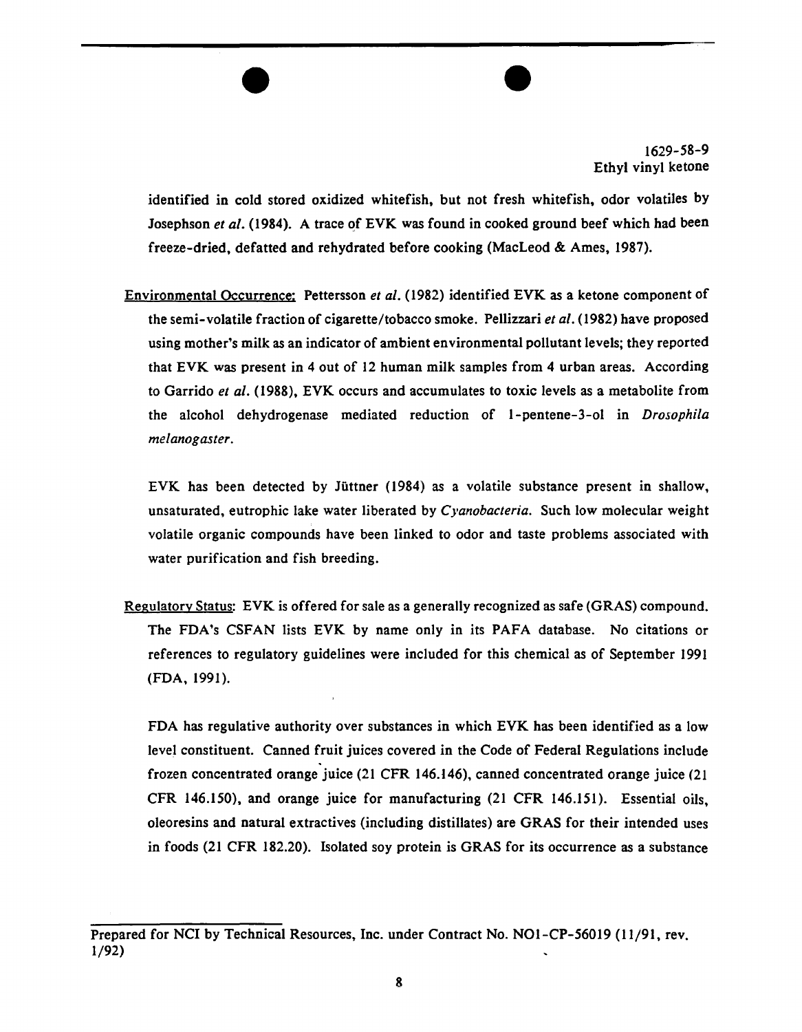identified in cold stored oxidized whitefish, but not fresh whitefish, odor volatiles by Josephson *et al.* (1984). A trace of EVK was found in cooked ground beef which had been freeze-dried, defatted and rehydrated before cooking (MacLeod & Ames, 1987).

 $\overline{\bullet}$ 

Environmental Occurrence: Pettersson et al. (1982) identified EVK as a ketone component of the semi-volatile fraction of cigarette/tobacco smoke. Pellizzari *eta/.* (1982) have proposed using mother's milk as an indicator of ambient environmental pollutant levels; they reported that EVK was present in 4 out of 12 human milk samples from 4 urban areas. According to Garrido *eta/.* (1988), EVK occurs and accumulates to toxic levels as a metabolite from the alcohol dehydrogenase mediated reduction of 1-pentene-3-ol in *Drosophila melanogaster.* 

EVK has been detected by Jiittner (1984) as a volatile substance present in shallow, unsaturated, eutrophic lake water liberated by *Cyanobacteria.* Such low molecular weight volatile organic compounds have been linked to odor and taste problems associated with water purification and fish breeding.

Regulatory Status: EVK is offered for sale as a generally recognized as safe (GRAS) compound. The FDA's CSFAN lists EVK by name only in its PAFA database. No citations or references to regulatory guidelines were included for this chemical as of September 1991 (FDA, 1991).

FDA has regulative authority over substances in which EVK has been identified as a low level constituent. Canned fruit juices covered in the Code of Federal Regulations include frozen concentrated orange juice (21 CFR 146.146), canned concentrated orange juice (21 CFR 146.150), and orange juice for manufacturing (21 CFR 146.151). Essential oils, oleoresins and natural extractives (including distillates) are GRAS for their intended uses in foods (21 CFR 182.20). Isolated soy protein is GRAS for its occurrence as a substance

Prepared for NCI by Technical Resources, Inc. under Contract No. NOl-CP-56019 (11/91, rev. 1/92)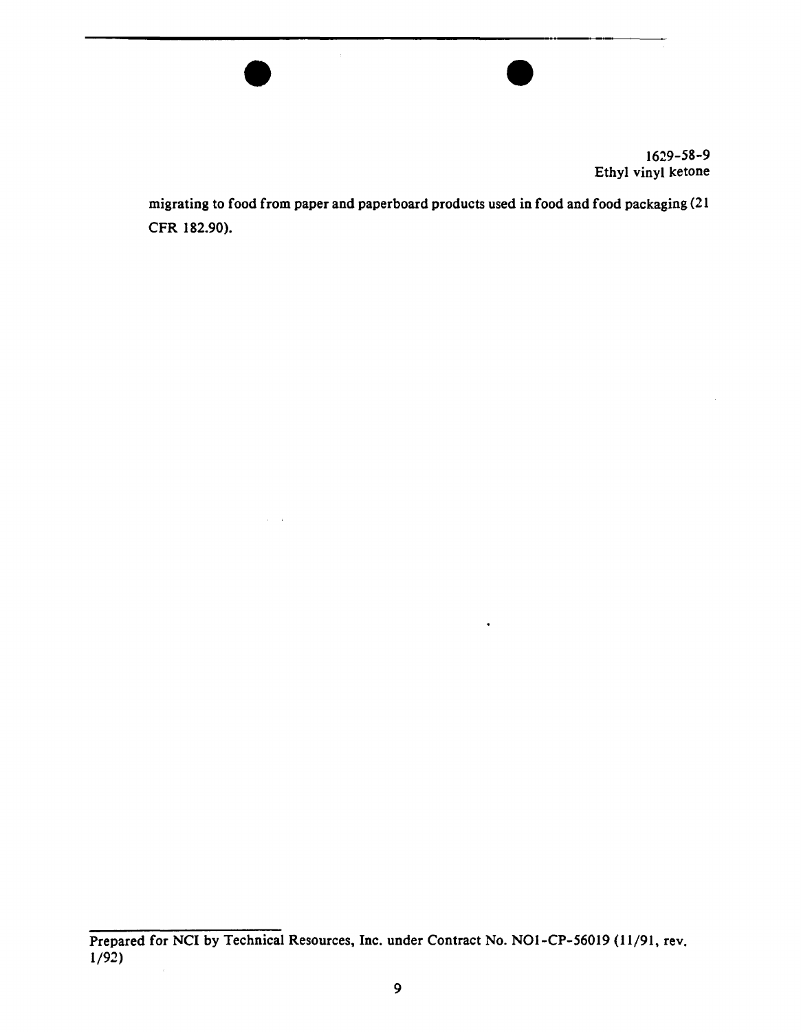

migrating to food from paper and paperboard products used in food and food packaging (21 CFR 182.90).

 $\overline{\bullet}$ 

Prepared for NCI by Technical Resources, Inc. under Contract No. NO1-CP-56019 (11/91, rev. 1/92)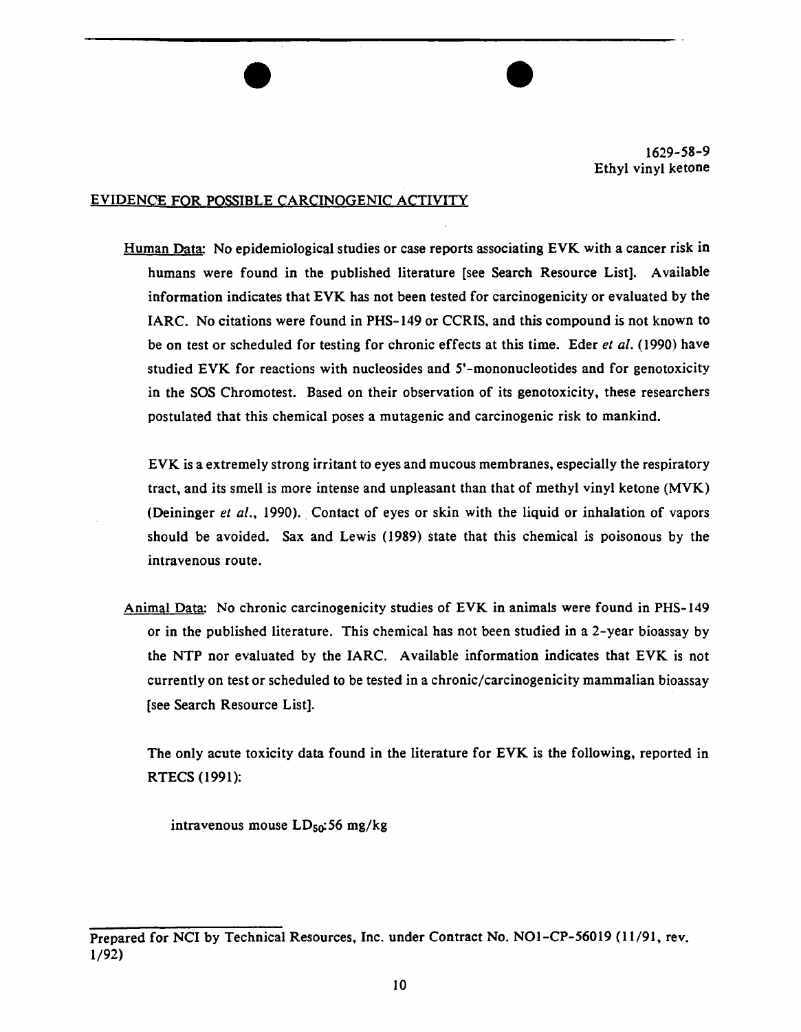#### EVIDENQE FOR POSSIBLE CARCINOGENIC ACTIVITY

Human Data: No epidemiological studies or case reports associating EVK with a cancer risk in humans were found in the published literature [see Search Resource List]. Available information indicates that EVK has not been tested for carcinogenicity or evaluated by the IARC. No citations were found in PHS-149 or CCRIS. and this compound is not known to be on test or scheduled for testing for chronic effects at this time. Eder *et a/.* (I990) have studied EVK for reactions with nucleosides and 5'-mononucleotides and for genotoxicity in the SOS Chromotest. Based on their observation of its genotoxicity, these researchers postulated that this chemical poses a mutagenic and carcinogenic risk to mankind.

 $\overline{\bullet}$ 

EVK is a extremely strong irritant to eyes and mucous membranes, especially the respiratory tract, and its smell is more intense and unpleasant than that of methyl vinyl ketone (MVK) (Deininger *et a/.,* 1990). Contact of eyes or skin with the liquid or inhalation of vapors should be avoided. Sax and Lewis ( 1989) state that this chemical is poisonous by the intravenous route.

Animal Data: No chronic carcinogenicity studies of EVK in animals were found in PHS-149 or in the published literature. This chemical has not been studied in a 2-year bioassay by the NTP nor evaluated by the IARC. Available information indicates that EVK is not currently on test or scheduled to be tested in a chronic/carcinogenicity mammalian bioassay [see Search Resource List].

The only acute toxicity data found in the literature for EVK is the following, reported in RTECS (1991):

intravenous mouse  $LD_{50}$ :56 mg/kg

Prepared for NCI by Technical Resources, Inc. under Contract No. N01-CP-56019 (11/91, rev. 1/92)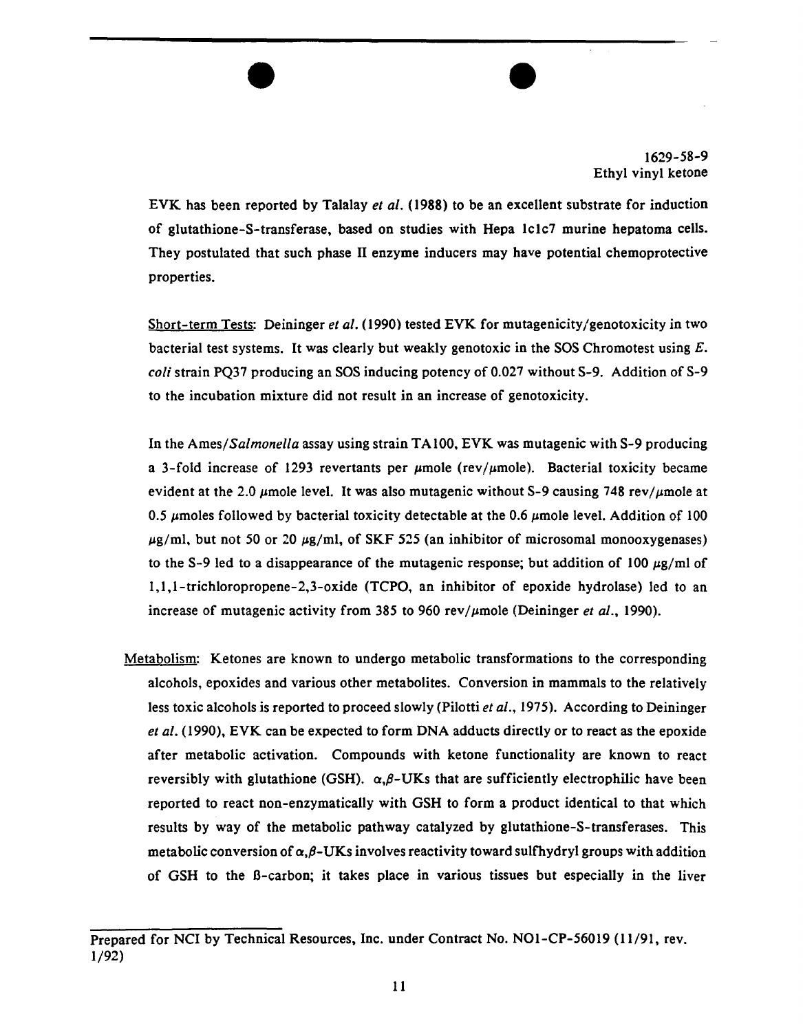

EVK has been reported by Talalay *et al.* (1988) to be an excellent substrate for induction of glutathione-S-transferase, based on studies with Hepa lclc7 murine hepatoma cells. They postulated that such phase II enzyme inducers may have potential chemoprotective properties.

 $\overline{\bullet}$ 

Short-term Tests: Deininger *et al.* (1990) tested EVK for mutagenicity/genotoxicity in two bacterial test systems. It was clearly but weakly genotoxic in the SOS Chromotest using  $E$ . *coli* strain PQ37 producing an SOS inducing potency of 0.027 without S-9. Addition of S-9 to the incubation mixture did not result in an increase of genotoxicity.

In the *Ames/Salmonella* assay using strain TAlOO, EVK was mutagenic with S-9 producing a 3-fold increase of 1293 revertants per  $\mu$ mole (rev/ $\mu$ mole). Bacterial toxicity became evident at the 2.0  $\mu$ mole level. It was also mutagenic without S-9 causing 748 rev/ $\mu$ mole at 0.5  $\mu$ moles followed by bacterial toxicity detectable at the 0.6  $\mu$ mole level. Addition of 100  $\mu$ g/ml, but not 50 or 20  $\mu$ g/ml, of SKF 525 (an inhibitor of microsomal monooxygenases) to the S-9 led to a disappearance of the mutagenic response; but addition of 100  $\mu$ g/ml of 1,1,1-trichloropropene-2,3-oxide (TCPO, an inhibitor of epoxide hydrolase) led to an increase of mutagenic activity from 385 to 960 rev/ $\mu$ mole (Deininger *et al.*, 1990).

Metabolism: Ketones are known to undergo metabolic transformations to the corresponding alcohols, epoxides and various other metabolites. Conversion in mammals to the relatively less toxic alcohols is reported to proceed slowly (Pilotti *et al.,* 1975). According to Deininger *eta/.* (1990), EVK can be expected to form DNA adducts directly or to react as the epoxide after metabolic activation. Compounds with ketone functionality are known to react reversibly with glutathione (GSH).  $\alpha, \beta$ -UKs that are sufficiently electrophilic have been reported to react non-enzymatically with GSH to form a product identical to that which results by way of the metabolic pathway catalyzed by glutathione-S-transferases. This metabolic conversion of  $\alpha, \beta$ -UKs involves reactivity toward sulfhydryl groups with addition of GSH to the B-carbon; it takes place in various tissues but especially in the liver

Prepared for NCI by Technical Resources, Inc. under Contract No. NOl-CP-56019 (I 1/91, rev. 1/92)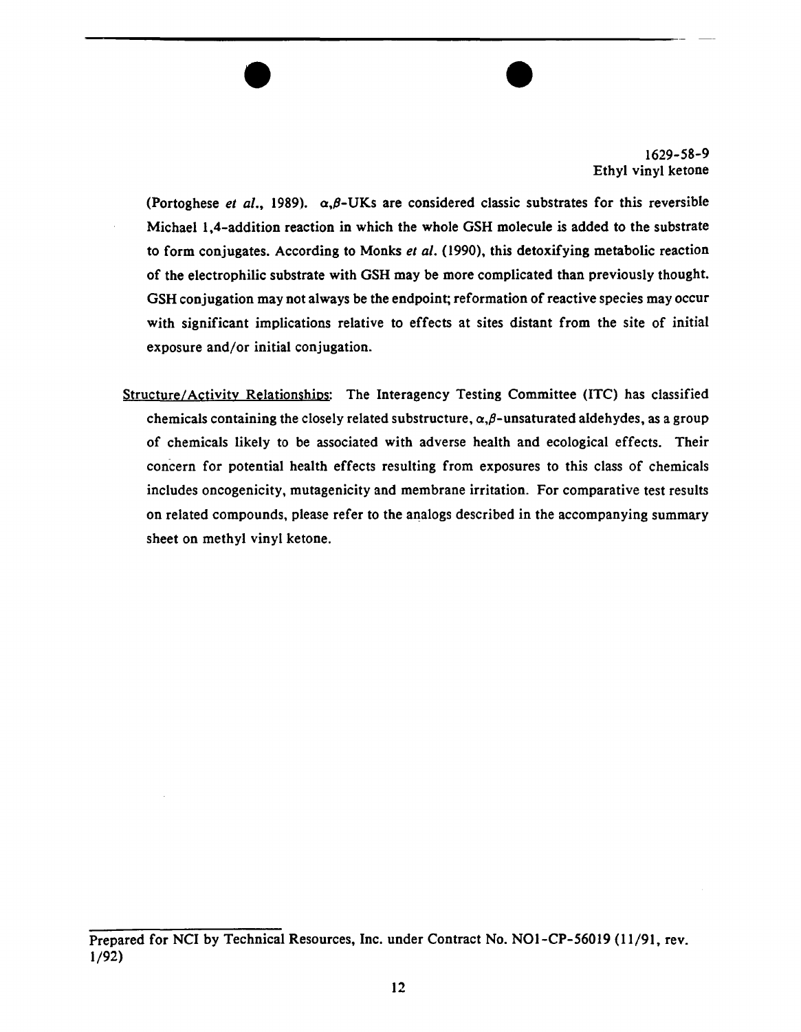(Portoghese *et al.*, 1989).  $\alpha, \beta$ -UKs are considered classic substrates for this reversible Michael 1 ,4-addition reaction in which the whole GSH molecule is added to the substrate to form conjugates. According to Monks *eta/.* (1990), this detoxifying metabolic reaction of the electrophilic substrate with GSH may be more complicated than previously thought. GSH conjugation may not always be the endpoint; reformation of reactive species may occur with significant implications relative to effects at sites distant from the site of initial exposure and/or initial conjugation.

 $\overline{\bullet}$ 

Structure/Activity Relationshios: The Interagency Testing Committee (lTC) has classified chemicals containing the closely related substructure,  $\alpha, \beta$ -unsaturated aldehydes, as a group of chemicals likely to be associated with adverse health and ecological effects. Their concern for potential health effects resulting from exposures to this class of chemicals includes oncogenicity, mutagenicity and membrane irritation. For comparative test results on related compounds, please refer to the analogs described in the accompanying summary sheet on methyl vinyl ketone.

Prepared for NCI by Technical Resources, Inc. under Contract No. N01-CP-56019 (11/91, rev. 1/92)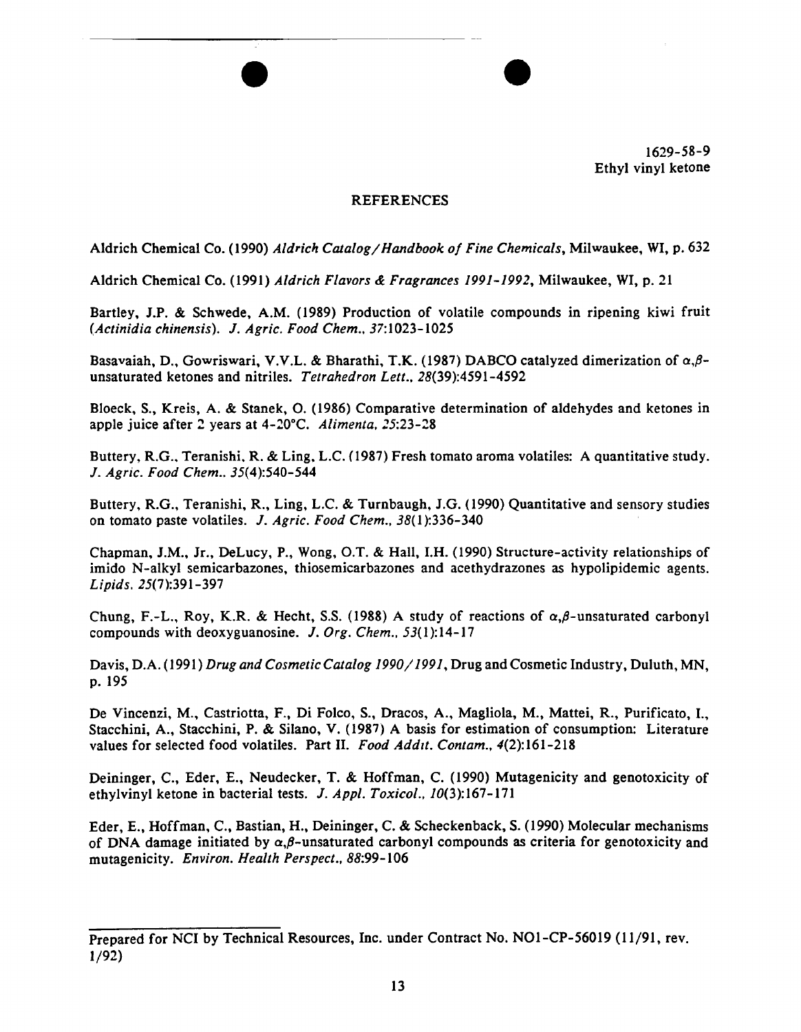

### REFERENCES

 $\bullet$ 

Aldrich Chemical Co. (1990) *Aldrich Catalog/Handbook of Fine Chemicals,* Milwaukee, WI, p. 632

Aldrich Chemical Co. (1991) *Aldrich Flavors* & *Fragrances 1991-1992,* Milwaukee, WI, p. 21

Bartley, J.P. & Schwede, A.M. (1989) Production of volatile compounds in ripening kiwi fruit *(Actinidia chinensis).* J. *Agric. Food Chem ..* 37:1023-1025

Basavaiah, D., Gowriswari, V.V.L. & Bharathi, T.K. (1987) DABCO catalyzed dimerization of *a,/3* unsaturated ketones and nitriles. *Tetrahedron Lett .•* 28(39):4591-4592

Bloeck, S., Kreis, A. & Stanek, 0. (1986) Comparative determination of aldehydes and ketones in apple juice after 2 years at 4-20°C. Alimenta, 25:23-28

Buttery, R.G., Teranishi, R. & Ling, L.C. (1987) Fresh tomato aroma volatiles: A quantitative study. J. *Agric. Food Chem ..* 35(4):540-544

Buttery, R.G., Teranishi, R., Ling, L.C. & Turnbaugh, J.G. (1990) Quantitative and sensory studies on tomato paste volatiles. J. *Agric. Food Chem.,* 38(1):336-340

Chapman, J.M., Jr., DeLucy, P., Wong, O.T. & Hall, I.H. (1990) Structure-activity relationships of imido N-alkyl semicarbazones, thiosemicarbazones and acethydrazones as hypolipidemic agents. *Lipids.* 25(7):391-397

Chung, F.-L., Roy, K.R. & Hecht, S.S. (1988) A study of reactions of  $\alpha, \beta$ -unsaturated carbonyl compounds with deoxyguanosine. J. *Org. Chem.,* 53(1):14-17

Davis, D.A. (1991) *Drug and Cosmetic Catalog 1990/1991,* Drug and Cosmetic Industry, Duluth, MN, p. 195

De Vincenzi, M., Castriotta, F., Di Folco, S., Dracos, A., Magliola, M., Mattei, R., Purificato, I., Stacchini, A., Stacchini, P. & Silano, V. (1987) A basis for estimation of consumption: Literature values for selected food volatiles. Part II. *Food Addit. Contam.*, 4(2):161-218

Deininger, C., Eder, E., Neudecker, T. & Hoffman, C. (1990) Mutagenicity and genotoxicity of ethylvinyl ketone in bacterial tests. J. *App/. Toxicol ..* 10(3):167-171

Eder, E., Hoffman, C., Bastian, H., Deininger, C. & Scheckenback, S. (1990) Molecular mechanisms of DNA damage initiated by  $\alpha, \beta$ -unsaturated carbonyl compounds as criteria for genotoxicity and mutagenicity. *Environ. Health Perspect.,* 88:99-106

Prepared for NCI by Technical Resources, Inc. under Contract No. NOl-CP-56019 (11/91, rev. 1/92)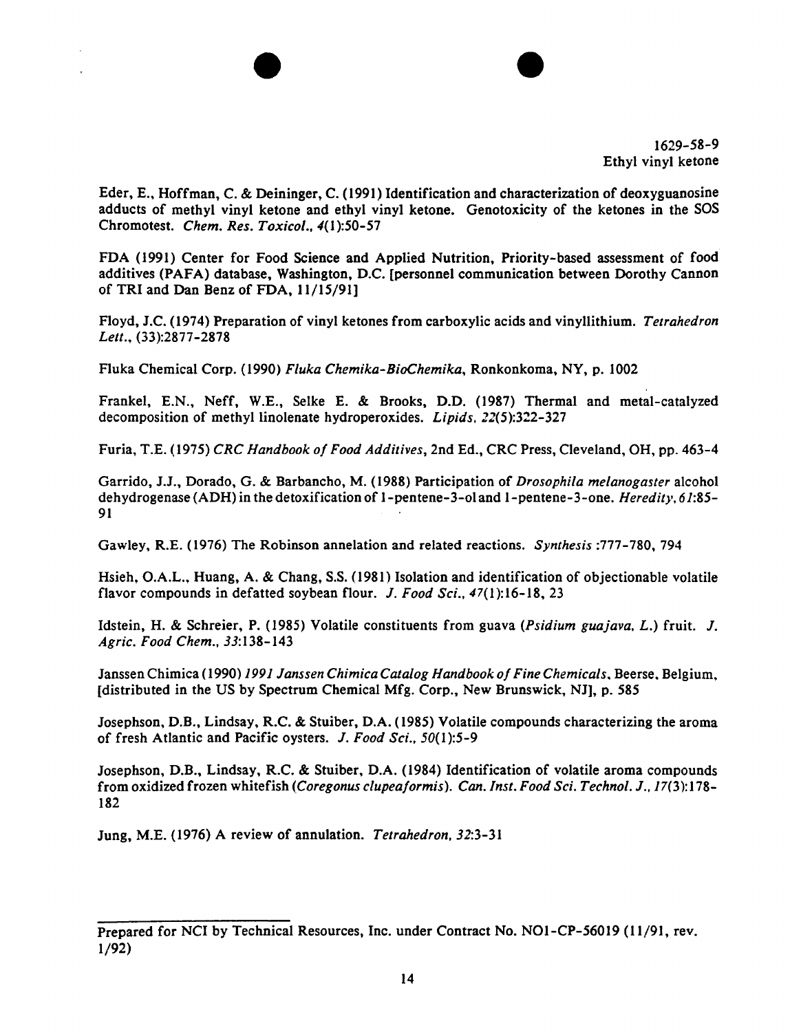Eder, E., Hoffman, C. & Deininger, C. (1991) Identification and characterization of deoxyguanosine adducts of methyl vinyl ketone and ethyl vinyl ketone. Genotoxicity of the ketones in the SOS Chromotest. *Chem. Res. Toxico/.,* 4(1):50-57

 $\bullet$ 

FDA (1991) Center for Food Science and Applied Nutrition, Priority-based assessment of food additives (PAFA) database, Washington, D.C. (personnel communication between Dorothy Cannon of TRI and Dan Benz of FDA, 11/15/91]

Floyd, J.C. (1974) Preparation of vinyl ketones from carboxylic acids and vinyllithium. *Tetrahedron*  Lett., (33):2877-2878

Fluka Chemical Corp. (1990) *Fluka Chemika-BioChemika,* Ronkonkoma, NY, p. 1002

Frankel, E.N., Neff, W.E., Selke E. & Brooks, D.D. (1987) Thermal and metal-catalyzed decomposition of methyllinolenate hydroperoxides. *Lipids.* 22(5):322-327

Furia, T.E. (1975) *CRC Handbook of Food Additives,* 2nd Ed., CRC Press, Cleveland, OH, pp. 463-4

Garrido, J.J., Dorado, G. & Barbancho, M. {1988) Participation of *Drosophila melanogaster* alcohol dehydrogenase (ADH) in the detoxification of 1-pentene-3-ol and 1-pentene-3-one. *Heredit}', 61:85* 91

Gawley, R.E. ( 1976) The Robinson annelation and related reactions. *Synthesis* :777-780, 794

Hsieh, O.A.L., Huang, A. & Chang, S.S. ( 1981) Isolation and identification of objectionable volatile flavor compounds in defatted soybean flour. *J. Food Sci.,* 47(1):16-18, 23

Idstein, H. & Schreier, P. (1985) Volatile constituents from guava *(Psidium guajava,* L.) fruit. *J. Agric. Food Chem.,* 33:138-143

Janssen Chimica (1990) *1991 Janssen Chimica Catalog Handbook of Fine Chemicals*, Beerse, Belgium, [distributed in the US by Spectrum Chemical Mfg. Corp., New Brunswick, NJ], p. *585* 

Josephson, D.B., Lindsay, R.C. & Stuiber, D.A. (1985) Volatile compounds characterizing the aroma of fresh Atlantic and Pacific oysters. *J. Food Sci.,* 50(1):5-9

Josephson, D.B., Lindsay, R.C. & Stuiber, D.A. (1984) Identification of volatile aroma compounds from oxidized frozen whitefish *(Coregonus clupeaformis). Can. Inst. Food Sci. Technol. J., 17(3)*:178-182

Jung, M.E. (1976) A review of annulation. *Tetrahedron.* 32:3-31

Prepared for NCI by Technical Resources, Inc. under Contract No. NOl-CP-56019 (11/91, rev. 1/92)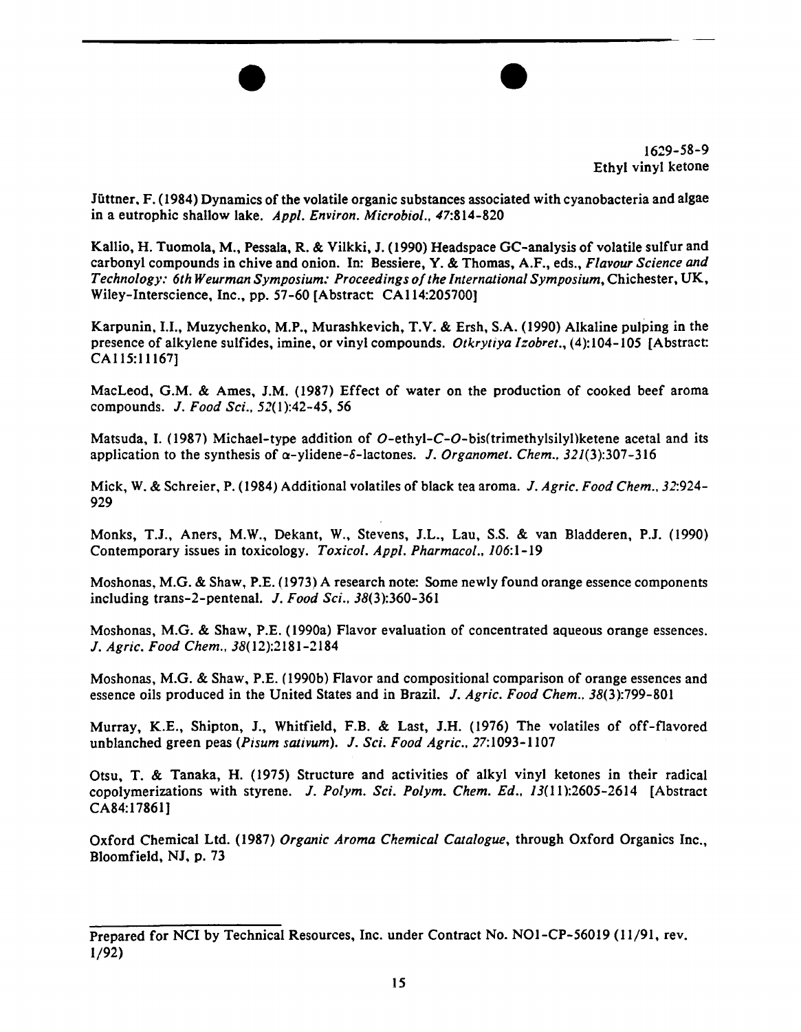Jiittner. F. (1984) Dynamics of the volatile organic substances associated with cyanobacteria and algae in a eutrophic shallow lake. *Appl. Environ. Microbiol .•* 47:814-820

 $\overline{\bullet}$ 

Kallio, H. Tuomola, M., Pessala, R. & Vilkki, J. (1990) Headspace GC-analysis of volatile sulfur and carbonyl compounds in chive and onion. In: Bessiere, Y. & Thomas, A.F., eds., *Flavour Science and Technology: 6th Weurman Symposium: Proceedings ofthe International Symposium,* Chichester, UK, Wiley-Interscience, Inc., pp. 57-60 [Abstract CAII4:205700)

Karpunin, 1.1., Muzychenko, M.P., Murashkevich, T.V. & Ersh, S.A. (1990) Alkaline pulping in the presence of alkylene sulfides, imine, or vinyl compounds. *Otkrytiya lzobret.,* (4):104-105 [Abstract CA115:11167]

MacLeod, G.M. & Ames, J.M. (1987) Effect of water on the production of cooked beef aroma compounds. J. *Food Sci..* 52(1):42-45, *56* 

Matsuda, I. (1987) Michael-type addition of O-ethyl-C-O-bis(trimethylsilyl) ketene acetal and its application to the synthesis of  $\alpha$ -ylidene- $\delta$ -lactones. *J. Organomet. Chem., 321(3):307-316* 

Mick, W. & Schreier, P. (1984) Additional volatiles of black tea aroma. J. *Agric. Food Chern .. 32:924* 929

Monks, T.J., Aners, M.W., Dekant, W., Stevens, J.L., Lau, S.S. & van Bladderen, P.J. (1990) Contemporary issues in toxicology. *Toxicol. Appl. Pharmacal..* 106:1-19

Moshonas, M.G. & Shaw, P.E. (1973) A research note: Some newly found orange essence components including trans-2-pentenal. J. *Food Sci.,* 38(3):360-361

Moshonas, M.G. & Shaw, P.E. (1990a) Flavor evaluation of concentrated aqueous orange essences. J. *Agric. Food Chem ..* 38(12):2181-2184

Moshonas, M.G. & Shaw. P.E. (1990b) Flavor and compositional comparison of orange essences and essence oils produced in the United States and in Brazil. J. *Agric. Food Chern.,* 38(3):799-801

Murray, K.E., Shipton, J., Whitfield, F.B. & Last, J.H. (1976) The volatiles of off-flavored unblanched green peas *(Pisurn sativum).* J. *Sci. Food Agric ..* 27:1093-1107

Otsu, T. & Tanaka, H. (1975) Structure and activities of alkyl vinyl ketones in their radical copolymerizations with styrene. J. *Polym. Sci. Polyrn. Chem. Ed..* 13(11):2605-2614 [Abstract CA84:17861]

Oxford Chemical Ltd. (1987) *Organic Aroma Chemical Catalogue,* through Oxford Organics Inc., Bloomfield, NJ, p. 73

Prepared for NCI by Technical Resources, Inc. under Contract No. NOl-CP-56019 (11/91, rev. 1/92)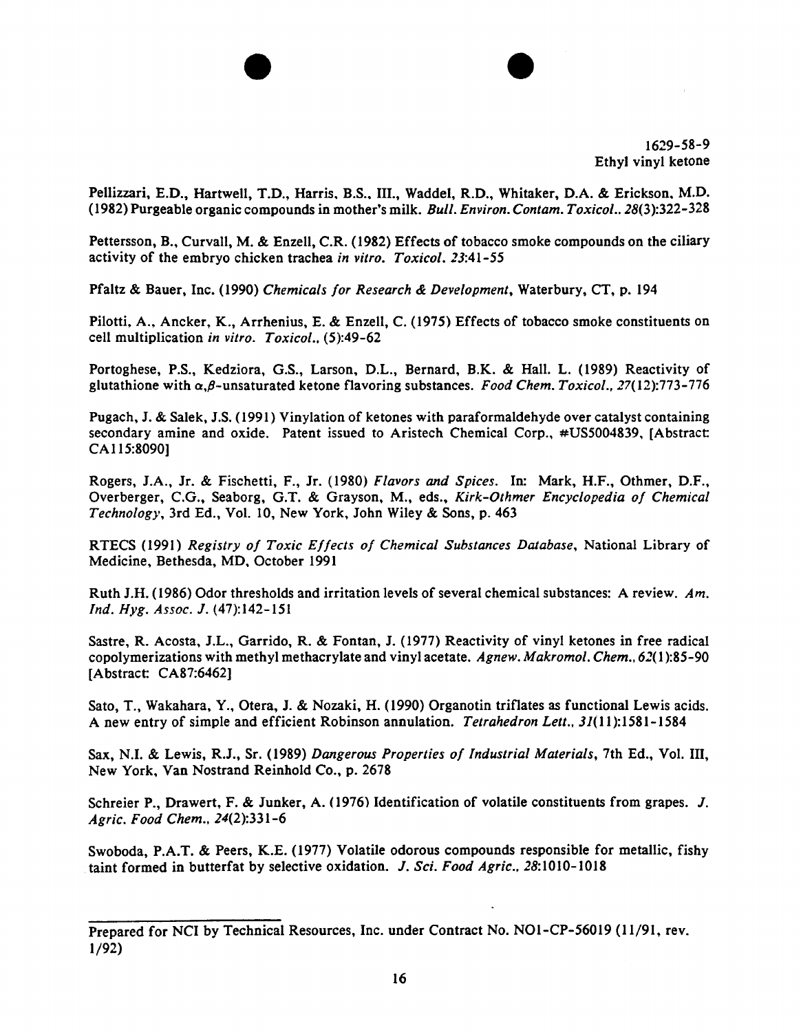Pellizzari, E.D., Hartwell, T.D., Harris, B.S., III., Waddel, R.D., Whitaker, D.A. & Erickson, M.D. (1982) Purgeable organic compounds in mother's milk. *Bull. Environ. Contam. Toxicol ..* 28(3):322-328

 $\bullet$ 

Pettersson, B., Curvall, M. & Enzell, C.R. (1982) Effects of tobacco smoke compounds on the ciliary activity of the embryo chicken trachea *in vitro. Toxicol.* 23:41-55

Pfaltz & Bauer, Inc. (1990) *Chemicals for Research* & *Development,* Waterbury, CT, p. 194

Pilotti, A., Ancker, K., Arrhenius, E. & Enzell, C. (1975) Effects of tobacco smoke constituents on cell multiplication *in vitro. Toxicol.•* (5):49-62

Portoghese, P.S., Kedziora, G.S., Larson, D.L., Bernard, B.K. & Hall. L. (1989) Reactivity of glutathione with  $\alpha$ , $\beta$ -unsaturated ketone flavoring substances. *Food Chem. Toxicol.*, 27(12):773-776

Pugach, J. & Salek, J.S. (1991) Vinylation of ketones with paraformaldehyde over catalyst containing secondary amine and oxide. Patent issued to Aristech Chemical Corp., #US5004839, [Abstract CA 115:8090]

Rogers, J.A., Jr. & Fischetti, F., Jr. (1980) *Flavors and Spices.* In: Mark, H.F., Othmer, D.F., Overberger, C.G., Seaborg, G.T. & Grayson, M., eds., *Kirk-Othmer Encyclopedia of Chemical Technology,* 3rd Ed., Vol. 10, New York, John Wiley & Sons, p. 463

RTECS (1991) *Registry of Toxic Effects of Chemical Substances Database,* National Library of Medicine, Bethesda, MD. October 1991

Ruth J.H. (1986) Odor thresholds and irritation levels of several chemical substances: A review. *Am. Ind. Hyg. Assoc.* J. (47):142-151

Sastre, R. Acosta, J.L., Garrido, R. & Fontan, J. (1977) Reactivity of vinyl ketones in free radical copolymerizations with methyl methacrylate and vinyl acetate. *Agnew. Makromol. Chem., 62(* 1 ):85-90 [Abstract: CA87:6462)

Sato, T., Wakahara, Y., Otera, J. & Nozaki, H. (1990) Organotin triflates as functional Lewis acids. A new entry of simple and efficient Robinson annulation. *Tetrahedron Lett .•* 31(11):1581-1584

Sax, N.I. & Lewis, R.J., Sr. (1989) *Dangerous Properties of Industrial Materials,* 7th Ed., Vol. III, New York, Van Nostrand Reinhold Co., p. 2678

Schreier P., Drawert, F. & Junker, A. (1976) Identification of volatile constituents from grapes. J. *Agric. Food Chem .•* 24(2):331-6

Swoboda, P.A.T. & Peers, K.E. (1977) Volatile odorous compounds responsible for metallic, fishy taint formed in butterfat by selective oxidation. J. *Sci. Food Agric.*, 28:1010-1018

Prepared for NCI by Technical Resources, Inc. under Contract No. NOl-CP-56019 (11/91, rev. 1/92)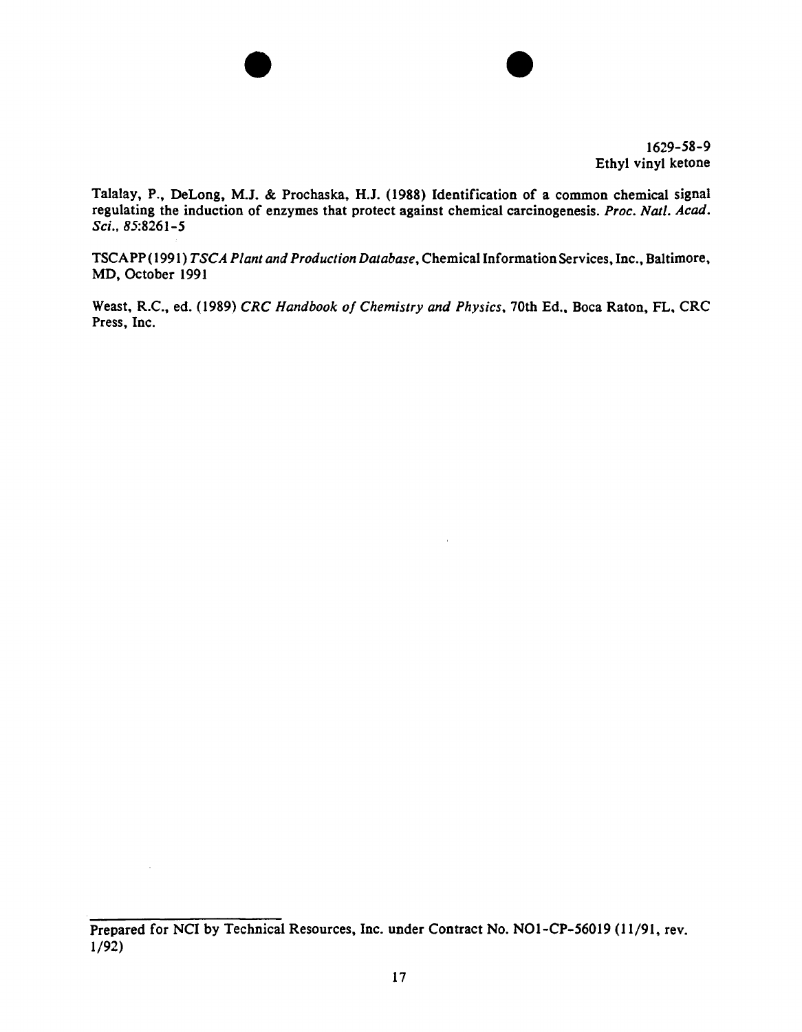

Talalay, P., DeLong, M.J. & Prochaska, H.J. (1988) Identification of a common chemical signal regulating the induction of enzymes that protect against chemical carcinogenesis. *Proc. Nat/. Acad.*  Sci., 85:8261-5

 $\bullet$ 

TSCAPP ( 1991) *TSCA Plant and Production Database,* Chemical Information Services, Inc., Baltimore, MD, October 1991

Weast, R.C., ed. (1989) *CRC Handbook of Chemistry and Physics*, 70th Ed., Boca Raton, FL, CRC Press. Inc.

 $\bar{z}$ 

Prepared for NCI by Technical Resources, Inc. under Contract No. NOl-CP-56019 (11/91, rev. 1/92)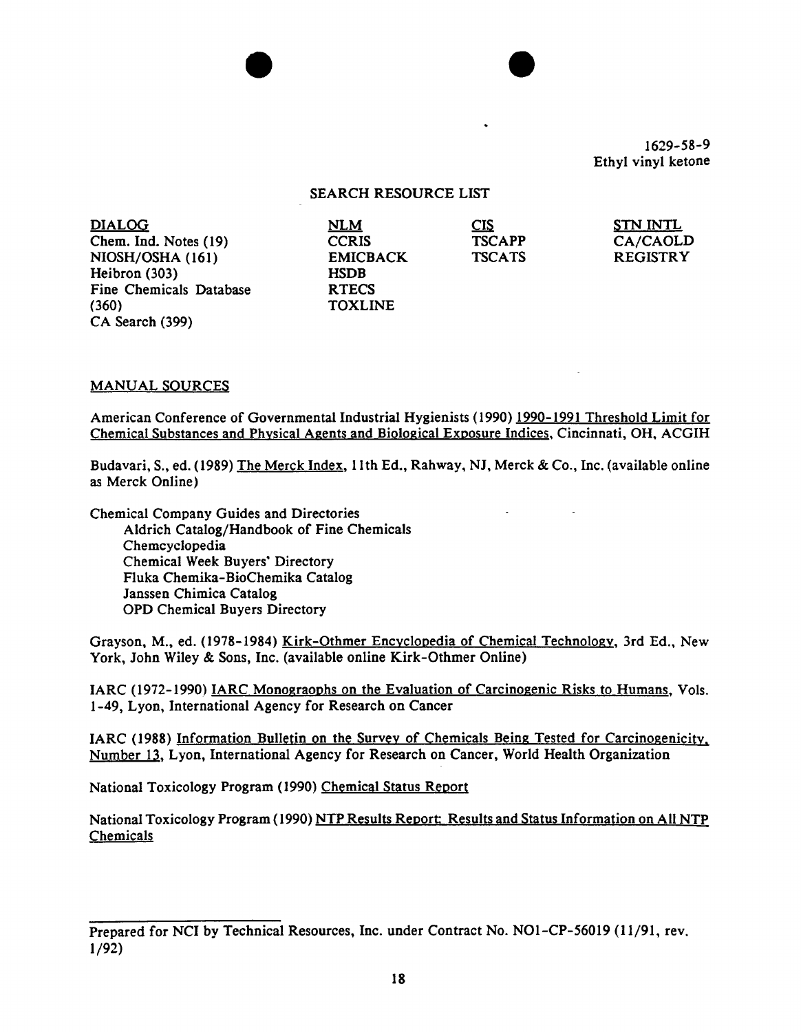### SEARCH RESOURCE LIST

 $\bullet$ 

| <b>DIALOG</b>           | <b>NLM</b>      | CIS           | <b>STN INTL</b> |
|-------------------------|-----------------|---------------|-----------------|
| Chem. Ind. Notes (19)   | <b>CCRIS</b>    | <b>TSCAPP</b> | CA/CAOLD        |
| NIOSH/OSHA (161)        | <b>EMICBACK</b> | <b>TSCATS</b> | <b>REGISTRY</b> |
| Heibron (303)           | <b>HSDB</b>     |               |                 |
| Fine Chemicals Database | <b>RTECS</b>    |               |                 |
| (360)                   | <b>TOXLINE</b>  |               |                 |
| CA Search (399)         |                 |               |                 |

#### MANUAL SOURCES

American Conference of Governmental Industrial Hygienists ( 1990) 1990-1991 Threshold Limit for Chemical Substances and Physical Agents and Biological Exposure Indices, Cincinnati, OH. ACGIH

Budavari, S., ed. ( 1989) The Merck Index, 11th Ed., Rahway, NJ, Merck & Co., Inc. (available online as Merck Online)

 $\sim$ 

Chemical Company Guides and Directories Aldrich Catalog/Handbook of Fine Chemicals Chemcyclopedia Chemical Week Buyers' Directory Fluka Chemika-BioChemika Catalog Janssen Chimica Catalog OPD Chemical Buyers Directory

Grayson, M., ed. (1978-1984) Kirk-Othmer Encyclopedia of Chemical Technology, 3rd Ed., New York, John Wiley & Sons, Inc. (available online Kirk-Othmer Online)

IARC (1972-1990) IARC Monograophs on the Evaluation of Carcinogenic Risks to Humans, Vols. 1-49, Lyon, International Agency for Research on Cancer

IARC (1988) Information Bulletin on the Survey of Chemicals Being Tested for Carcinogenicity. Number 13, Lyon, International Agency for Research on Cancer, World Health Organization

National Toxicology Program (1990) Chemical Status Report

National Toxicology Program (1990) NTP Results Report: Results and Status Information on All NTP Chemicals

Prepared for NCI by Technical Resources, Inc. under Contract No. NOI-CP-56019 (11/91, rev. 1/92)